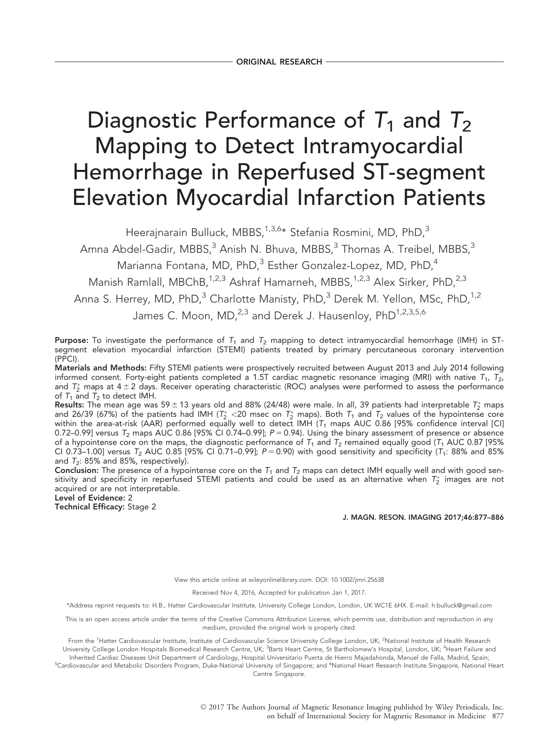# Diagnostic Performance of  $T_1$  and  $T_2$ Mapping to Detect Intramyocardial Hemorrhage in Reperfused ST-segment Elevation Myocardial Infarction Patients

Heerajnarain Bulluck, MBBS,<sup>1,3,6\*</sup> Stefania Rosmini, MD, PhD,<sup>3</sup>

Amna Abdel-Gadir, MBBS, $3$  Anish N. Bhuva, MBBS, $3$  Thomas A. Treibel, MBBS, $3$ 

Marianna Fontana, MD, PhD, $3$  Esther Gonzalez-Lopez, MD, PhD, $4$ 

Manish Ramlall, MBChB,<sup>1,2,3</sup> Ashraf Hamarneh, MBBS,<sup>1,2,3</sup> Alex Sirker, PhD,<sup>2,3</sup>

Anna S. Herrey, MD, PhD, $3$  Charlotte Manisty, PhD, $3$  Derek M. Yellon, MSc, PhD, $1,2$ 

James C. Moon, MD,<sup>2,3</sup> and Derek J. Hausenloy, PhD<sup>1,2,3,5,6</sup>

Purpose: To investigate the performance of  $T_1$  and  $T_2$  mapping to detect intramyocardial hemorrhage (IMH) in STsegment elevation myocardial infarction (STEMI) patients treated by primary percutaneous coronary intervention (PPCI).

Materials and Methods: Fifty STEMI patients were prospectively recruited between August 2013 and July 2014 following informed consent. Forty-eight patients completed a 1.5T cardiac magnetic resonance imaging (MRI) with native  $T_1$ ,  $T_2$ , and  $T_2^*$  maps at 4  $\pm$  2 days. Receiver operating characteristic (ROC) analyses were performed to assess the performance of  $T_1$  and  $T_2$  to detect IMH.

Results: The mean age was 59  $\pm$  13 years old and 88% (24/48) were male. In all, 39 patients had interpretable  $T_2^*$  maps and 26/39 (67%) of the patients had IMH ( $T_2^*$  <20 msec on  $T_2^*$  maps). Both  $T_1$  and  $T_2$  values of the hypointense core within the area-at-risk (AAR) performed equally well to detect IMH ( $\tau_1$  maps AUC 0.86 [95% confidence interval [CI] 0.72–0.99] versus  $T_2$  maps AUC 0.86 [95% CI 0.74–0.99];  $P = 0.94$ ). Using the binary assessment of presence or absence of a hypointense core on the maps, the diagnostic performance of  $T_1$  and  $T_2$  remained equally good ( $T_1$  AUC 0.87 [95% CI 0.73–1.00] versus T<sub>2</sub> AUC 0.85 [95% CI 0.71–0.99]; P = 0.90) with good sensitivity and specificity (T<sub>1</sub>: 88% and 85% and  $T_2$ : 85% and 85%, respectively).

**Conclusion:** The presence of a hypointense core on the  $T_1$  and  $T_2$  maps can detect IMH equally well and with good sensitivity and specificity in reperfused STEMI patients and could be used as an alternative when  $T_2^{\ast}$  images are not acquired or are not interpretable.

Level of Evidence: 2 Technical Efficacy: Stage 2

J. MAGN. RESON. IMAGING 2017;46:877–886

View this article online at wileyonlinelibrary.com. DOI: 10.1002/jmri.25638

Received Nov 4, 2016, Accepted for publication Jan 1, 2017.

\*Address reprint requests to: H.B., Hatter Cardiovascular Institute, University College London, London, UK WC1E 6HX. E-mail: h.bulluck@gmail.com

This is an open access article under the terms of the [Creative Commons Attribution](http://creativecommons.org/licenses/by/4.0/) License, which permits use, distribution and reproduction in any medium, provided the original work is properly cited.

From the <sup>1</sup>Hatter Cardiovascular Institute, Institute of Cardiovascular Science University College London, UK; <sup>2</sup>National Institute of Health Research University College London Hospitals Biomedical Research Centre, UK; <sup>3</sup>Barts Heart Centre, St Bartholomew's Hospital, London, UK; <sup>4</sup>Heart Failure and Inherited Cardiac Diseases Unit Department of Cardiology, Hospital Universitario Puerta de Hierro Majadahonda, Manuel de Falla, Madrid, Spain;

<sup>5</sup>Cardiovascular and Metabolic Disorders Program, Duke-National University of Singapore; and <sup>6</sup>National Heart Research Institute Singapore, National Heart Centre Singapore.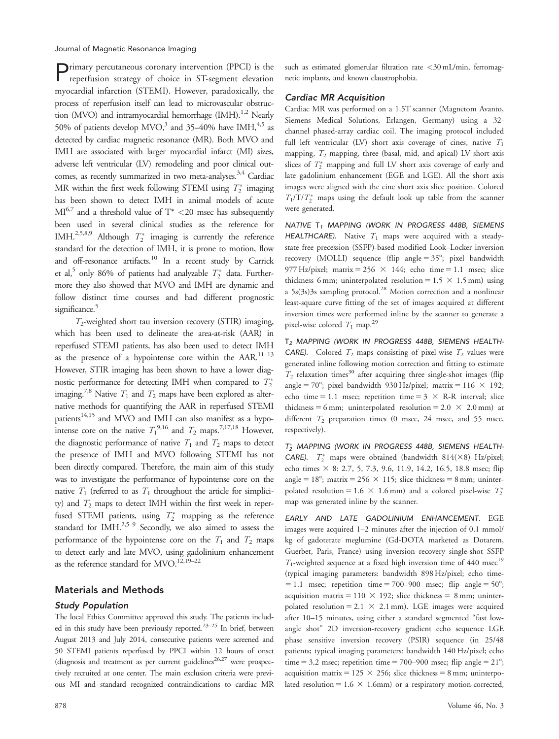Journal of Magnetic Resonance Imaging

Primary percutaneous coronary intervention (PPCI) is the reperfusion strategy of choice in ST-segment elevation myocardial infarction (STEMI). However, paradoxically, the process of reperfusion itself can lead to microvascular obstruction (MVO) and intramyocardial hemorrhage  $(MH)$ .<sup>1,2</sup> Nearly 50% of patients develop  $MVO$ ,<sup>3</sup> and 35–40% have IMH,<sup>4,5</sup> as detected by cardiac magnetic resonance (MR). Both MVO and IMH are associated with larger myocardial infarct (MI) sizes, adverse left ventricular (LV) remodeling and poor clinical outcomes, as recently summarized in two meta-analyses.<sup>3,4</sup> Cardiac MR within the first week following STEMI using  $T_2^*$  imaging has been shown to detect IMH in animal models of acute  $MI^{6,7}$  and a threshold value of  $T^*$  <20 msec has subsequently been used in several clinical studies as the reference for IMH.<sup>2,5,8,9</sup> Although  $T_2^*$  imaging is currently the reference standard for the detection of IMH, it is prone to motion, flow and off-resonance artifacts.<sup>10</sup> In a recent study by Carrick et al,<sup>5</sup> only 86% of patients had analyzable  $T_2^*$  data. Furthermore they also showed that MVO and IMH are dynamic and follow distinct time courses and had different prognostic significance.<sup>5</sup>

 $T_2$ -weighted short tau inversion recovery (STIR) imaging, which has been used to delineate the area-at-risk (AAR) in reperfused STEMI patients, has also been used to detect IMH as the presence of a hypointense core within the AAR.<sup>11-13</sup> However, STIR imaging has been shown to have a lower diagnostic performance for detecting IMH when compared to  $T_2^*$ imaging.<sup>7,8</sup> Native  $T_1$  and  $T_2$  maps have been explored as alternative methods for quantifying the AAR in reperfused STEMI patients<sup>14,15</sup> and MVO and IMH can also manifest as a hypointense core on the native  $T_1^{9,16}$  and  $T_2$  maps.<sup>7,17,18</sup> However, the diagnostic performance of native  $T_1$  and  $T_2$  maps to detect the presence of IMH and MVO following STEMI has not been directly compared. Therefore, the main aim of this study was to investigate the performance of hypointense core on the native  $T_1$  (referred to as  $T_1$  throughout the article for simplicity) and  $T_2$  maps to detect IMH within the first week in reperfused STEMI patients, using  $T_2^*$  mapping as the reference standard for IMH.<sup>2,5–9</sup> Secondly, we also aimed to assess the performance of the hypointense core on the  $T_1$  and  $T_2$  maps to detect early and late MVO, using gadolinium enhancement as the reference standard for MVO.<sup>12,19–22</sup>

## Materials and Methods

## Study Population

The local Ethics Committee approved this study. The patients included in this study have been previously reported.<sup>23-25</sup> In brief, between August 2013 and July 2014, consecutive patients were screened and 50 STEMI patients reperfused by PPCI within 12 hours of onset (diagnosis and treatment as per current guidelines<sup>26,27</sup> were prospectively recruited at one center. The main exclusion criteria were previous MI and standard recognized contraindications to cardiac MR

such as estimated glomerular filtration rate <30 mL/min, ferromagnetic implants, and known claustrophobia.

## Cardiac MR Acquisition

Cardiac MR was performed on a 1.5T scanner (Magnetom Avanto, Siemens Medical Solutions, Erlangen, Germany) using a 32 channel phased-array cardiac coil. The imaging protocol included full left ventricular (LV) short axis coverage of cines, native  $T_1$ mapping,  $T_2$  mapping, three (basal, mid, and apical) LV short axis slices of  $T_2^*$  mapping and full LV short axis coverage of early and late gadolinium enhancement (EGE and LGE). All the short axis images were aligned with the cine short axis slice position. Colored  $T_1/T/T_2^*$  maps using the default look up table from the scanner were generated.

NATIVE T<sub>1</sub> MAPPING (WORK IN PROGRESS 448B, SIEMENS HEALTHCARE). Native  $T_1$  maps were acquired with a steadystate free precession (SSFP)-based modified Look–Locker inversion recovery (MOLLI) sequence (flip angle  $= 35^\circ$ ; pixel bandwidth 977 Hz/pixel; matrix = 256  $\times$  144; echo time = 1.1 msec; slice thickness 6 mm; uninterpolated resolution =  $1.5 \times 1.5$  mm) using a  $5s(3s)3s$  sampling protocol.<sup>28</sup> Motion correction and a nonlinear least-square curve fitting of the set of images acquired at different inversion times were performed inline by the scanner to generate a pixel-wise colored  $T_1$  map.<sup>29</sup>

T<sub>2</sub> MAPPING (WORK IN PROGRESS 448B, SIEMENS HEALTH-**CARE**). Colored  $T_2$  maps consisting of pixel-wise  $T_2$  values were generated inline following motion correction and fitting to estimate  $T_2$  relaxation times<sup>30</sup> after acquiring three single-shot images (flip angle = 70°; pixel bandwidth 930 Hz/pixel; matrix = 116  $\times$  192; echo time = 1.1 msec; repetition time =  $3 \times R-R$  interval; slice thickness = 6 mm; uninterpolated resolution =  $2.0 \times 2.0$  mm) at different  $T_2$  preparation times (0 msec, 24 msec, and 55 msec, respectively).

 $T_{2}^{*}$  MAPPING (WORK IN PROGRESS 448B, SIEMENS HEALTH-CARE).  $T_2^*$  maps were obtained (bandwidth 814( $\times$ 8) Hz/pixel; echo times  $\times$  8: 2.7, 5, 7.3, 9.6, 11.9, 14.2, 16.5, 18.8 msec; flip angle =  $18^\circ$ ; matrix =  $256 \times 115$ ; slice thickness = 8 mm; uninterpolated resolution = 1.6  $\times$  1.6 mm) and a colored pixel-wise  $T_2^*$ map was generated inline by the scanner.

EARLY AND LATE GADOLINIUM ENHANCEMENT. EGE images were acquired 1–2 minutes after the injection of 0.1 mmol/ kg of gadoterate meglumine (Gd-DOTA marketed as Dotarem, Guerbet, Paris, France) using inversion recovery single-shot SSFP  $T_1$ -weighted sequence at a fixed high inversion time of 440 msec<sup>19</sup> (typical imaging parameters: bandwidth 898 Hz/pixel; echo time- $= 1.1$  msec; repetition time  $= 700 - 900$  msec; flip angle  $= 50^{\circ}$ ; acquisition matrix =  $110 \times 192$ ; slice thickness = 8 mm; uninterpolated resolution = 2.1  $\times$  2.1 mm). LGE images were acquired after 10–15 minutes, using either a standard segmented "fast lowangle shot" 2D inversion-recovery gradient echo sequence LGE phase sensitive inversion recovery (PSIR) sequence (in 25/48 patients; typical imaging parameters: bandwidth 140 Hz/pixel; echo time = 3.2 msec; repetition time = 700–900 msec; flip angle =  $21^{\circ}$ ; acquisition matrix =  $125 \times 256$ ; slice thickness = 8 mm; uninterpolated resolution =  $1.6 \times 1.6$ mm) or a respiratory motion-corrected,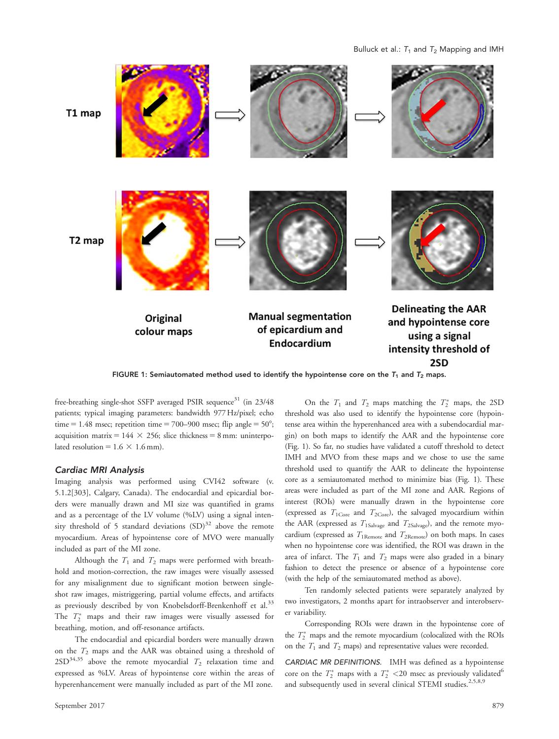Bulluck et al.:  $T_1$  and  $T_2$  Mapping and IMH



FIGURE 1: Semiautomated method used to identify the hypointense core on the  $T_1$  and  $T_2$  maps.

free-breathing single-shot SSFP averaged PSIR sequence<sup>31</sup> (in 23/48 patients; typical imaging parameters: bandwidth 977 Hz/pixel; echo time = 1.48 msec; repetition time = 700–900 msec; flip angle =  $50^{\circ}$ ; acquisition matrix =  $144 \times 256$ ; slice thickness = 8 mm: uninterpolated resolution =  $1.6 \times 1.6$  mm).

## Cardiac MRI Analysis

Imaging analysis was performed using CVI42 software (v. 5.1.2[303], Calgary, Canada). The endocardial and epicardial borders were manually drawn and MI size was quantified in grams and as a percentage of the LV volume (%LV) using a signal intensity threshold of 5 standard deviations  $(SD)^{32}$  above the remote myocardium. Areas of hypointense core of MVO were manually included as part of the MI zone.

Although the  $T_1$  and  $T_2$  maps were performed with breathhold and motion-correction, the raw images were visually assessed for any misalignment due to significant motion between singleshot raw images, mistriggering, partial volume effects, and artifacts as previously described by von Knobelsdorff-Brenkenhoff et al.<sup>33</sup> The  $T_2^*$  maps and their raw images were visually assessed for breathing, motion, and off-resonance artifacts.

The endocardial and epicardial borders were manually drawn on the  $T_2$  maps and the AAR was obtained using a threshold of  $2SD^{34,35}$  above the remote myocardial  $T_2$  relaxation time and expressed as %LV. Areas of hypointense core within the areas of hyperenhancement were manually included as part of the MI zone.

On the  $T_1$  and  $T_2$  maps matching the  $T_2^*$  maps, the 2SD threshold was also used to identify the hypointense core (hypointense area within the hyperenhanced area with a subendocardial margin) on both maps to identify the AAR and the hypointense core (Fig. 1). So far, no studies have validated a cutoff threshold to detect IMH and MVO from these maps and we chose to use the same threshold used to quantify the AAR to delineate the hypointense core as a semiautomated method to minimize bias (Fig. 1). These areas were included as part of the MI zone and AAR. Regions of interest (ROIs) were manually drawn in the hypointense core (expressed as  $T_{1\text{Core}}$  and  $T_{2\text{Core}}$ ), the salvaged myocardium within the AAR (expressed as  $T_{1Salvage}$  and  $T_{2Salvage}$ ), and the remote myocardium (expressed as  $T_{1\text{Remove}}$  and  $T_{2\text{Remove}}$ ) on both maps. In cases when no hypointense core was identified, the ROI was drawn in the area of infarct. The  $T_1$  and  $T_2$  maps were also graded in a binary fashion to detect the presence or absence of a hypointense core (with the help of the semiautomated method as above).

Ten randomly selected patients were separately analyzed by two investigators, 2 months apart for intraobserver and interobserver variability.

Corresponding ROIs were drawn in the hypointense core of the  $T_2^*$  maps and the remote myocardium (colocalized with the ROIs on the  $T_1$  and  $T_2$  maps) and representative values were recorded.

CARDIAC MR DEFINITIONS. IMH was defined as a hypointense core on the  $T_2^*$  maps with a  $T_2^*$  <20 msec as previously validated<sup>6</sup> and subsequently used in several clinical STEMI studies.<sup>2,5,8,9</sup>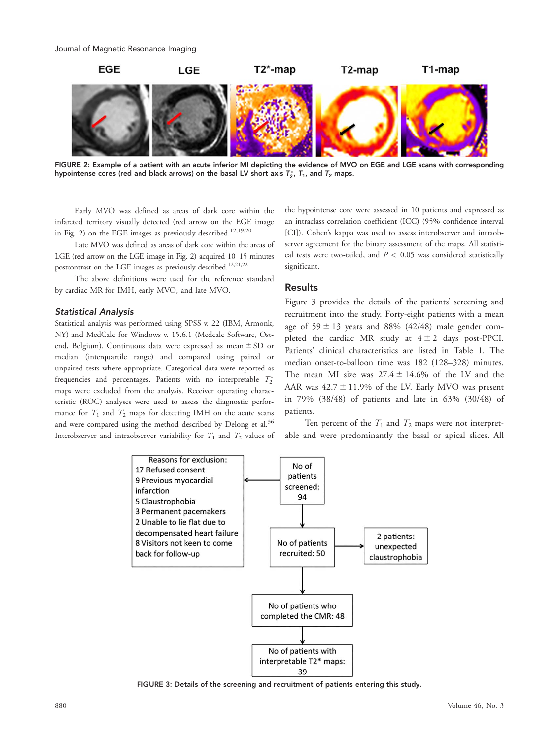

FIGURE 2: Example of a patient with an acute inferior MI depicting the evidence of MVO on EGE and LGE scans with corresponding hypointense cores (red and black arrows) on the basal LV short axis  $T_2^\ast$ ,  $T_1$ , and  $T_2$  maps.

Early MVO was defined as areas of dark core within the infarcted territory visually detected (red arrow on the EGE image in Fig. 2) on the EGE images as previously described.<sup>12,19,20</sup>

Late MVO was defined as areas of dark core within the areas of LGE (red arrow on the LGE image in Fig. 2) acquired 10–15 minutes postcontrast on the LGE images as previously described.<sup>12,21,22</sup>

The above definitions were used for the reference standard by cardiac MR for IMH, early MVO, and late MVO.

#### Statistical Analysis

Statistical analysis was performed using SPSS v. 22 (IBM, Armonk, NY) and MedCalc for Windows v. 15.6.1 (Medcalc Software, Ostend, Belgium). Continuous data were expressed as mean  $\pm$  SD or median (interquartile range) and compared using paired or unpaired tests where appropriate. Categorical data were reported as frequencies and percentages. Patients with no interpretable  $T_2^*$ maps were excluded from the analysis. Receiver operating characteristic (ROC) analyses were used to assess the diagnostic performance for  $T_1$  and  $T_2$  maps for detecting IMH on the acute scans and were compared using the method described by Delong et al.<sup>36</sup> Interobserver and intraobserver variability for  $T_1$  and  $T_2$  values of the hypointense core were assessed in 10 patients and expressed as an intraclass correlation coefficient (ICC) (95% confidence interval [CI]). Cohen's kappa was used to assess interobserver and intraobserver agreement for the binary assessment of the maps. All statistical tests were two-tailed, and  $P < 0.05$  was considered statistically significant.

## Results

Figure 3 provides the details of the patients' screening and recruitment into the study. Forty-eight patients with a mean age of  $59 \pm 13$  years and 88% (42/48) male gender completed the cardiac MR study at  $4 \pm 2$  days post-PPCI. Patients' clinical characteristics are listed in Table 1. The median onset-to-balloon time was 182 (128–328) minutes. The mean MI size was  $27.4 \pm 14.6\%$  of the LV and the AAR was  $42.7 \pm 11.9\%$  of the LV. Early MVO was present in 79% (38/48) of patients and late in 63% (30/48) of patients.

Ten percent of the  $T_1$  and  $T_2$  maps were not interpretable and were predominantly the basal or apical slices. All



FIGURE 3: Details of the screening and recruitment of patients entering this study.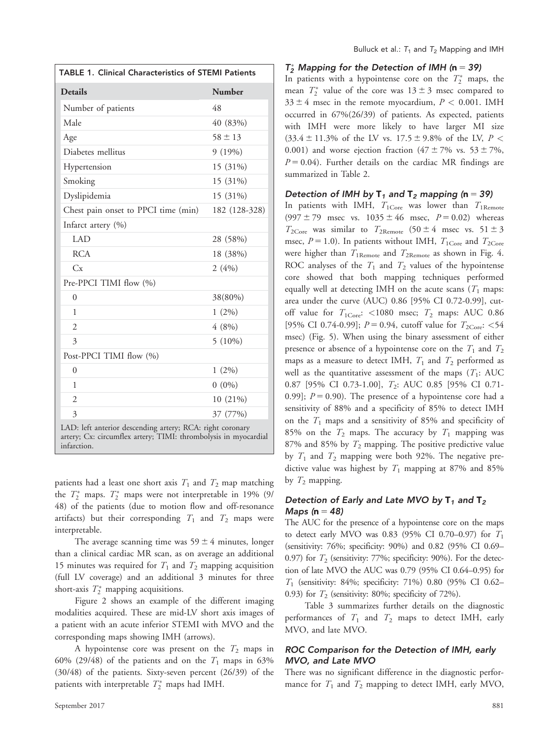| <b>TABLE 1. Clinical Characteristics of STEMI Patients</b>                                                                                  |               |  |  |  |
|---------------------------------------------------------------------------------------------------------------------------------------------|---------------|--|--|--|
| <b>Details</b>                                                                                                                              | <b>Number</b> |  |  |  |
| Number of patients                                                                                                                          | 48            |  |  |  |
| Male                                                                                                                                        | 40 (83%)      |  |  |  |
| Age                                                                                                                                         | $58 \pm 13$   |  |  |  |
| Diabetes mellitus                                                                                                                           | 9(19%)        |  |  |  |
| Hypertension                                                                                                                                | 15 (31%)      |  |  |  |
| Smoking                                                                                                                                     | 15 (31%)      |  |  |  |
| Dyslipidemia                                                                                                                                | 15 (31%)      |  |  |  |
| Chest pain onset to PPCI time (min)                                                                                                         | 182 (128-328) |  |  |  |
| Infarct artery (%)                                                                                                                          |               |  |  |  |
| LAD <sub>1</sub>                                                                                                                            | 28 (58%)      |  |  |  |
| <b>RCA</b>                                                                                                                                  | 18 (38%)      |  |  |  |
| Cx                                                                                                                                          | 2(4%)         |  |  |  |
| Pre-PPCI TIMI flow (%)                                                                                                                      |               |  |  |  |
| $\theta$                                                                                                                                    | 38(80%)       |  |  |  |
| 1                                                                                                                                           | $1(2\%)$      |  |  |  |
| $\overline{2}$                                                                                                                              | 4(8%)         |  |  |  |
| 3                                                                                                                                           | $5(10\%)$     |  |  |  |
| Post-PPCI TIMI flow (%)                                                                                                                     |               |  |  |  |
| $\theta$                                                                                                                                    | $1(2\%)$      |  |  |  |
| 1                                                                                                                                           | $0(0\%)$      |  |  |  |
| $\overline{2}$                                                                                                                              | 10 (21%)      |  |  |  |
| 3                                                                                                                                           | 37 (77%)      |  |  |  |
| LAD: left anterior descending artery; RCA: right coronary<br>artery; Cx: circumflex artery; TIMI: thrombolysis in myocardial<br>infarction. |               |  |  |  |

patients had a least one short axis  $T_1$  and  $T_2$  map matching the  $T_2^*$  maps.  $T_2^*$  maps were not interpretable in 19% (9/ 48) of the patients (due to motion flow and off-resonance artifacts) but their corresponding  $T_1$  and  $T_2$  maps were interpretable.

The average scanning time was  $59 \pm 4$  minutes, longer than a clinical cardiac MR scan, as on average an additional 15 minutes was required for  $T_1$  and  $T_2$  mapping acquisition (full LV coverage) and an additional 3 minutes for three short-axis  $T_2^*$  mapping acquisitions.

Figure 2 shows an example of the different imaging modalities acquired. These are mid-LV short axis images of a patient with an acute inferior STEMI with MVO and the corresponding maps showing IMH (arrows).

A hypointense core was present on the  $T_2$  maps in 60% (29/48) of the patients and on the  $T_1$  maps in 63% (30/48) of the patients. Sixty-seven percent (26/39) of the patients with interpretable  $T_2^*$  maps had IMH.

## $T_2^*$  Mapping for the Detection of IMH (n = 39)

In patients with a hypointense core on the  $T_2^*$  maps, the mean  $T_2^*$  value of the core was  $13 \pm 3$  msec compared to  $33 \pm 4$  msec in the remote myocardium,  $P < 0.001$ . IMH occurred in 67%(26/39) of patients. As expected, patients with IMH were more likely to have larger MI size  $(33.4 \pm 11.3\%$  of the LV vs.  $17.5 \pm 9.8\%$  of the LV,  $P <$ 0.001) and worse ejection fraction  $(47 \pm 7\% \text{ vs. } 53 \pm 7\%$ ,  $P = 0.04$ ). Further details on the cardiac MR findings are summarized in Table 2.

## Detection of IMH by  $T_1$  and  $T_2$  mapping (n = 39)

In patients with IMH,  $T_{1\text{Core}}$  was lower than  $T_{1\text{Remote}}$  $(997 \pm 79$  msec vs.  $1035 \pm 46$  msec,  $P = 0.02$ ) whereas  $T_{2\text{Core}}$  was similar to  $T_{2\text{Remote}}$  (50  $\pm$  4 msec vs. 51  $\pm$  3 msec,  $P = 1.0$ ). In patients without IMH,  $T_{1\text{Core}}$  and  $T_{2\text{Core}}$ were higher than  $T_{1\text{Remote}}$  and  $T_{2\text{Remote}}$  as shown in Fig. 4. ROC analyses of the  $T_1$  and  $T_2$  values of the hypointense core showed that both mapping techniques performed equally well at detecting IMH on the acute scans  $(T_1)$  maps: area under the curve (AUC) 0.86 [95% CI 0.72-0.99], cutoff value for  $T_{1\text{Core}}$ : <1080 msec;  $T_2$  maps: AUC 0.86 [95% CI 0.74-0.99];  $P = 0.94$ , cutoff value for  $T_{2\text{Core}}$ : <54 msec) (Fig. 5). When using the binary assessment of either presence or absence of a hypointense core on the  $T_1$  and  $T_2$ maps as a measure to detect IMH,  $T_1$  and  $T_2$  performed as well as the quantitative assessment of the maps  $(T_1: AUC)$ 0.87 [95% CI 0.73-1.00], T<sub>2</sub>: AUC 0.85 [95% CI 0.71-0.99];  $P = 0.90$ . The presence of a hypointense core had a sensitivity of 88% and a specificity of 85% to detect IMH on the  $T_1$  maps and a sensitivity of 85% and specificity of 85% on the  $T_2$  maps. The accuracy by  $T_1$  mapping was 87% and 85% by  $T_2$  mapping. The positive predictive value by  $T_1$  and  $T_2$  mapping were both 92%. The negative predictive value was highest by  $T_1$  mapping at 87% and 85% by  $T_2$  mapping.

## Detection of Early and Late MVO by  $T_1$  and  $T_2$ Maps ( $n = 48$ )

The AUC for the presence of a hypointense core on the maps to detect early MVO was 0.83 (95% CI 0.70–0.97) for  $T_1$ (sensitivity: 76%; specificity: 90%) and 0.82 (95% CI 0.69– 0.97) for  $T_2$  (sensitivity: 77%; specificity: 90%). For the detection of late MVO the AUC was 0.79 (95% CI 0.64–0.95) for  $T_1$  (sensitivity: 84%; specificity: 71%) 0.80 (95% CI 0.62– 0.93) for  $T_2$  (sensitivity: 80%; specificity of 72%).

Table 3 summarizes further details on the diagnostic performances of  $T_1$  and  $T_2$  maps to detect IMH, early MVO, and late MVO.

## ROC Comparison for the Detection of IMH, early MVO, and Late MVO

There was no significant difference in the diagnostic performance for  $T_1$  and  $T_2$  mapping to detect IMH, early MVO,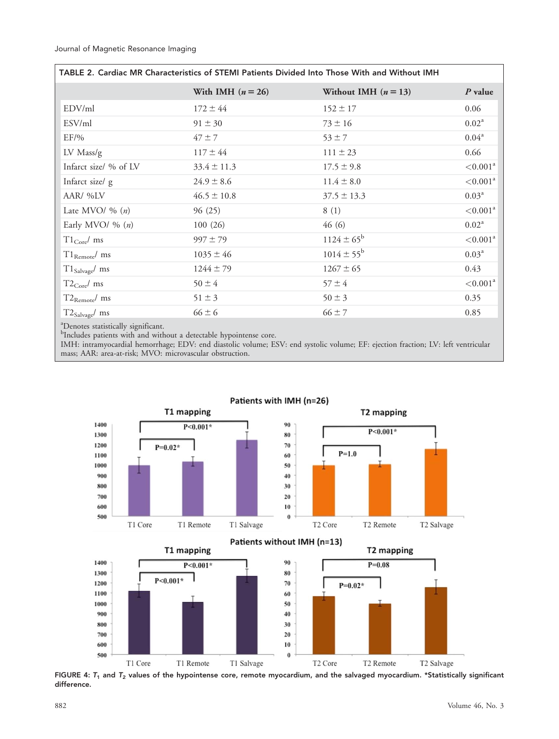| TABLE 2. Cardiac MR Characteristics of STEMI Patients Divided Into Those With and Without IMH |                     |                        |                      |  |  |  |  |
|-----------------------------------------------------------------------------------------------|---------------------|------------------------|----------------------|--|--|--|--|
|                                                                                               | With IMH $(n = 26)$ | Without IMH $(n = 13)$ | $P$ value            |  |  |  |  |
| EDV/ml                                                                                        | $172 \pm 44$        | $152 \pm 17$           | 0.06                 |  |  |  |  |
| ESV/ml                                                                                        | $91 \pm 30$         | $73 \pm 16$            | $0.02^{\rm a}$       |  |  |  |  |
| $EF/$ %                                                                                       | $47 \pm 7$          | $53 \pm 7$             | $0.04^{\rm a}$       |  |  |  |  |
| $LV$ Mass/g                                                                                   | $117 \pm 44$        | $111 \pm 23$           | 0.66                 |  |  |  |  |
| Infarct size/ % of LV                                                                         | $33.4 \pm 11.3$     | $17.5 \pm 9.8$         | $\leq 0.001^{\rm a}$ |  |  |  |  |
| Infarct size/ g                                                                               | $24.9 \pm 8.6$      | $11.4 \pm 8.0$         | < 0.001 <sup>a</sup> |  |  |  |  |
| AAR/ %LV                                                                                      | $46.5 \pm 10.8$     | $37.5 \pm 13.3$        | $0.03^{\rm a}$       |  |  |  |  |
| Late MVO/ $\%$ $(n)$                                                                          | 96(25)              | 8(1)                   | < 0.001 <sup>a</sup> |  |  |  |  |
| Early MVO/ $\%$ $(n)$                                                                         | 100(26)             | 46(6)                  | $0.02^{\rm a}$       |  |  |  |  |
| $T1_{Core}/$ ms                                                                               | $997 \pm 79$        | $1124 \pm 65^{\rm b}$  | < 0.001 <sup>a</sup> |  |  |  |  |
| $T1_{\text{Remote}}$ ms                                                                       | $1035 \pm 46$       | $1014 \pm 55^{\rm b}$  | $0.03^{\rm a}$       |  |  |  |  |
| $T1_{\text{Salvage}}$ ms                                                                      | $1244 \pm 79$       | $1267 \pm 65$          | 0.43                 |  |  |  |  |
| $T2_{\text{Core}}$ ms                                                                         | $50 \pm 4$          | $57 \pm 4$             | < 0.001 <sup>a</sup> |  |  |  |  |
| $T2_{\text{Remote}}/$ ms                                                                      | $51 \pm 3$          | $50 \pm 3$             | 0.35                 |  |  |  |  |
| $T2_{\text{Salvage}}$ ms                                                                      | $66 \pm 6$          | $66 \pm 7$             | 0.85                 |  |  |  |  |

a Denotes statistically significant.

<sup>b</sup>Includes patients with and without a detectable hypointense core.

IMH: intramyocardial hemorrhage; EDV: end diastolic volume; ESV: end systolic volume; EF: ejection fraction; LV: left ventricular mass; AAR: area-at-risk; MVO: microvascular obstruction.



## Patients with IMH (n=26)

 $P < 0.001*$ 70  $P=0.02*$ 60 50  $40$ 30 20 10  $\bf{0}$ T1 Core T1 Remote T1 Salvage T<sub>2</sub> Core T<sub>2</sub> Remote T2 Salvage

FIGURE 4:  $T_1$  and  $T_2$  values of the hypointense core, remote myocardium, and the salvaged myocardium. \*Statistically significant difference.

1100

1000

900 800

700

600

500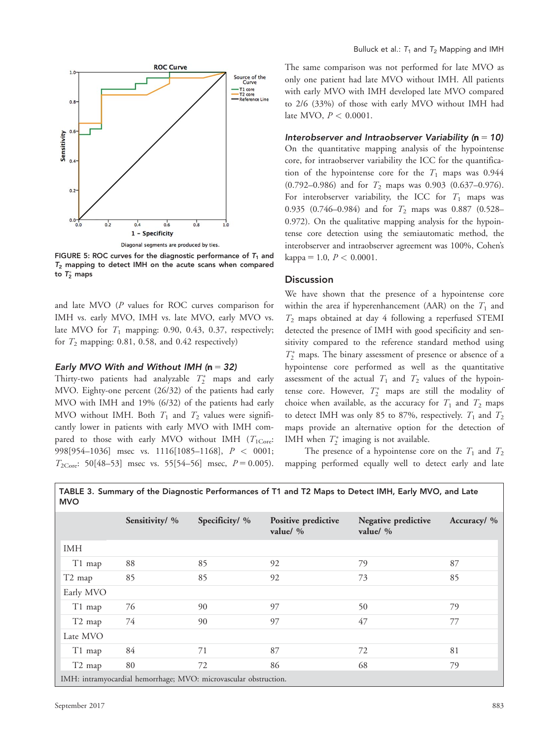

FIGURE 5: ROC curves for the diagnostic performance of  $T_1$  and  $T_2$  mapping to detect IMH on the acute scans when compared to  $T_2^*$  maps

and late MVO (P values for ROC curves comparison for IMH vs. early MVO, IMH vs. late MVO, early MVO vs. late MVO for  $T_1$  mapping: 0.90, 0.43, 0.37, respectively; for  $T_2$  mapping: 0.81, 0.58, and 0.42 respectively)

#### Early MVO With and Without IMH ( $n = 32$ )

Thirty-two patients had analyzable  $T_2^*$  maps and early MVO. Eighty-one percent (26/32) of the patients had early MVO with IMH and 19% (6/32) of the patients had early MVO without IMH. Both  $T_1$  and  $T_2$  values were significantly lower in patients with early MVO with IMH compared to those with early MVO without IMH  $(T_{1Core}:$ 998[954–1036] msec vs. 1116[1085–1168],  $P < 0001$ ;  $T_{2\text{Core}}$ : 50[48–53] msec vs. 55[54–56] msec,  $P = 0.005$ ). The same comparison was not performed for late MVO as only one patient had late MVO without IMH. All patients with early MVO with IMH developed late MVO compared to 2/6 (33%) of those with early MVO without IMH had late MVO,  $P < 0.0001$ .

Interobserver and Intraobserver Variability ( $n = 10$ ) On the quantitative mapping analysis of the hypointense core, for intraobserver variability the ICC for the quantification of the hypointense core for the  $T_1$  maps was 0.944 (0.792–0.986) and for  $T_2$  maps was 0.903 (0.637–0.976). For interobserver variability, the ICC for  $T_1$  maps was 0.935 (0.746-0.984) and for  $T_2$  maps was 0.887 (0.528-0.972). On the qualitative mapping analysis for the hypointense core detection using the semiautomatic method, the interobserver and intraobserver agreement was 100%, Cohen's  $kappa = 1.0, P < 0.0001.$ 

#### Discussion

We have shown that the presence of a hypointense core within the area if hyperenhancement (AAR) on the  $T_1$  and  $T_2$  maps obtained at day 4 following a reperfused STEMI detected the presence of IMH with good specificity and sensitivity compared to the reference standard method using  $T_2^\ast$  maps. The binary assessment of presence or absence of a hypointense core performed as well as the quantitative assessment of the actual  $T_1$  and  $T_2$  values of the hypointense core. However,  $T_2^*$  maps are still the modality of choice when available, as the accuracy for  $T_1$  and  $T_2$  maps to detect IMH was only 85 to 87%, respectively.  $T_1$  and  $T_2$ maps provide an alternative option for the detection of IMH when  $T_2^*$  imaging is not available.

The presence of a hypointense core on the  $T_1$  and  $T_2$ mapping performed equally well to detect early and late

|                                                                  | Sensitivity/ % | Specificity/ % | Positive predictive<br>value/ $\%$ | Negative predictive<br>value/ % | Accuracy/ % |  |  |
|------------------------------------------------------------------|----------------|----------------|------------------------------------|---------------------------------|-------------|--|--|
| <b>IMH</b>                                                       |                |                |                                    |                                 |             |  |  |
| T1 map                                                           | 88             | 85             | 92                                 | 79                              | 87          |  |  |
| T <sub>2</sub> map                                               | 85             | 85             | 92                                 | 73                              | 85          |  |  |
| Early MVO                                                        |                |                |                                    |                                 |             |  |  |
| T1 map                                                           | 76             | 90             | 97                                 | 50                              | 79          |  |  |
| T <sub>2</sub> map                                               | 74             | 90             | 97                                 | 47                              | 77          |  |  |
| Late MVO                                                         |                |                |                                    |                                 |             |  |  |
| T1 map                                                           | 84             | 71             | 87                                 | 72                              | 81          |  |  |
| T <sub>2</sub> map                                               | 80             | 72             | 86                                 | 68                              | 79          |  |  |
| IMH: intramyocardial hemorrhage; MVO: microvascular obstruction. |                |                |                                    |                                 |             |  |  |

TABLE 3. Summary of the Diagnostic Performances of T1 and T2 Maps to Detect IMH, Early MVO, and Late MVO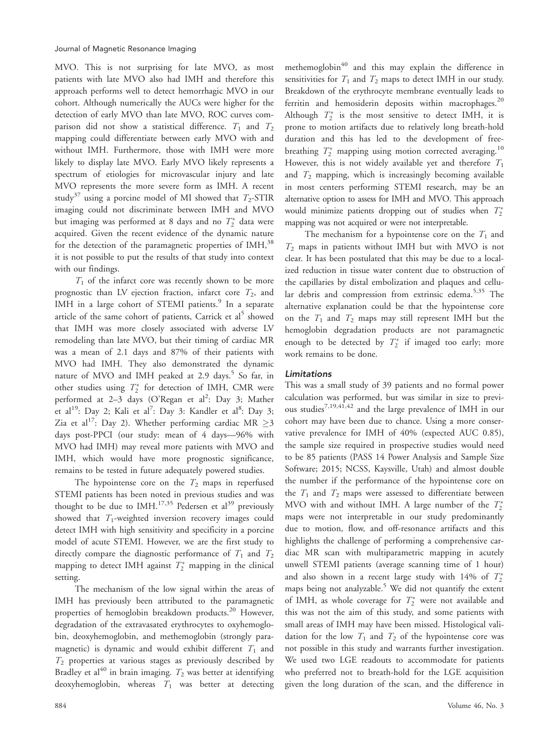MVO. This is not surprising for late MVO, as most patients with late MVO also had IMH and therefore this approach performs well to detect hemorrhagic MVO in our cohort. Although numerically the AUCs were higher for the detection of early MVO than late MVO, ROC curves comparison did not show a statistical difference.  $T_1$  and  $T_2$ mapping could differentiate between early MVO with and without IMH. Furthermore, those with IMH were more likely to display late MVO. Early MVO likely represents a spectrum of etiologies for microvascular injury and late MVO represents the more severe form as IMH. A recent study<sup>37</sup> using a porcine model of MI showed that  $T_2$ -STIR imaging could not discriminate between IMH and MVO but imaging was performed at 8 days and no  $T_2^*$  data were acquired. Given the recent evidence of the dynamic nature for the detection of the paramagnetic properties of IMH,<sup>38</sup> it is not possible to put the results of that study into context with our findings.

 $T_1$  of the infarct core was recently shown to be more prognostic than LV ejection fraction, infarct core  $T_2$ , and IMH in a large cohort of STEMI patients.<sup>9</sup> In a separate article of the same cohort of patients, Carrick et al<sup>5</sup> showed that IMH was more closely associated with adverse LV remodeling than late MVO, but their timing of cardiac MR was a mean of 2.1 days and 87% of their patients with MVO had IMH. They also demonstrated the dynamic nature of MVO and IMH peaked at 2.9 days.<sup>5</sup> So far, in other studies using  $T_2^*$  for detection of IMH, CMR were performed at 2-3 days (O'Regan et al<sup>2</sup>: Day 3; Mather et al<sup>19</sup>: Day 2; Kali et al<sup>7</sup>: Day 3: Kandler et al<sup>8</sup>: Day 3; Zia et al<sup>17</sup>: Day 2). Whether performing cardiac MR  $\geq$ 3 days post-PPCI (our study: mean of 4 days—96% with MVO had IMH) may reveal more patients with MVO and IMH, which would have more prognostic significance, remains to be tested in future adequately powered studies.

The hypointense core on the  $T_2$  maps in reperfused STEMI patients has been noted in previous studies and was thought to be due to IMH.<sup>17,35</sup> Pedersen et al<sup>39</sup> previously showed that  $T_1$ -weighted inversion recovery images could detect IMH with high sensitivity and specificity in a porcine model of acute STEMI. However, we are the first study to directly compare the diagnostic performance of  $T_1$  and  $T_2$ mapping to detect IMH against  $T_2^*$  mapping in the clinical setting.

The mechanism of the low signal within the areas of IMH has previously been attributed to the paramagnetic properties of hemoglobin breakdown products.<sup>20</sup> However, degradation of the extravasated erythrocytes to oxyhemoglobin, deoxyhemoglobin, and methemoglobin (strongly paramagnetic) is dynamic and would exhibit different  $T_1$  and  $T_2$  properties at various stages as previously described by Bradley et al<sup>40</sup> in brain imaging.  $T_2$  was better at identifying deoxyhemoglobin, whereas  $T_1$  was better at detecting

methemoglobin<sup>40</sup> and this may explain the difference in sensitivities for  $T_1$  and  $T_2$  maps to detect IMH in our study. Breakdown of the erythrocyte membrane eventually leads to ferritin and hemosiderin deposits within macrophages.<sup>20</sup> Although  $T_2^*$  is the most sensitive to detect IMH, it is prone to motion artifacts due to relatively long breath-hold duration and this has led to the development of freebreathing  $T_2^*$  mapping using motion corrected averaging.<sup>10</sup> However, this is not widely available yet and therefore  $T_1$ and  $T_2$  mapping, which is increasingly becoming available in most centers performing STEMI research, may be an alternative option to assess for IMH and MVO. This approach would minimize patients dropping out of studies when  $T_2^*$ mapping was not acquired or were not interpretable.

The mechanism for a hypointense core on the  $T_1$  and  $T_2$  maps in patients without IMH but with MVO is not clear. It has been postulated that this may be due to a localized reduction in tissue water content due to obstruction of the capillaries by distal embolization and plaques and cellular debris and compression from extrinsic edema.<sup>5,35</sup> The alternative explanation could be that the hypointense core on the  $T_1$  and  $T_2$  maps may still represent IMH but the hemoglobin degradation products are not paramagnetic enough to be detected by  $T_2^*$  if imaged too early; more work remains to be done.

#### Limitations

This was a small study of 39 patients and no formal power calculation was performed, but was similar in size to previous studies7,19,41,42 and the large prevalence of IMH in our cohort may have been due to chance. Using a more conservative prevalence for IMH of 40% (expected AUC 0.85), the sample size required in prospective studies would need to be 85 patients (PASS 14 Power Analysis and Sample Size Software; 2015; NCSS, Kaysville, Utah) and almost double the number if the performance of the hypointense core on the  $T_1$  and  $T_2$  maps were assessed to differentiate between MVO with and without IMH. A large number of the  $T_2^*$ maps were not interpretable in our study predominantly due to motion, flow, and off-resonance artifacts and this highlights the challenge of performing a comprehensive cardiac MR scan with multiparametric mapping in acutely unwell STEMI patients (average scanning time of 1 hour) and also shown in a recent large study with  $14\%$  of  $T_2^*$ maps being not analyzable.<sup>5</sup> We did not quantify the extent of IMH, as whole coverage for  $T_2^*$  were not available and this was not the aim of this study, and some patients with small areas of IMH may have been missed. Histological validation for the low  $T_1$  and  $T_2$  of the hypointense core was not possible in this study and warrants further investigation. We used two LGE readouts to accommodate for patients who preferred not to breath-hold for the LGE acquisition given the long duration of the scan, and the difference in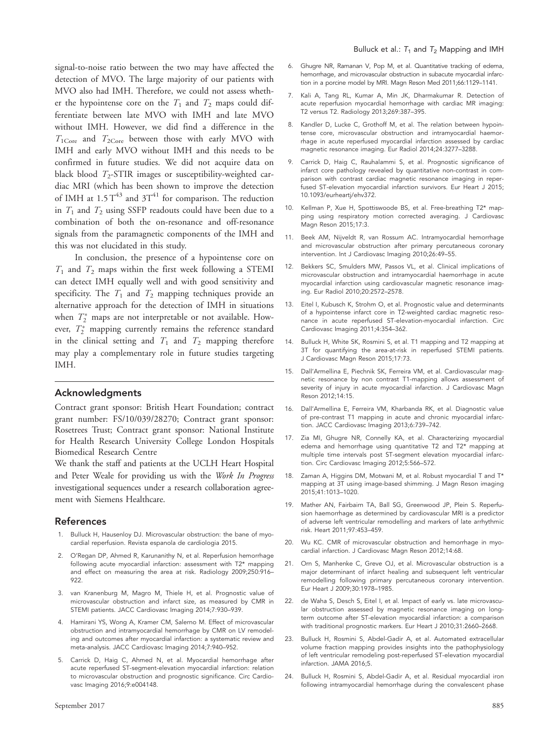signal-to-noise ratio between the two may have affected the detection of MVO. The large majority of our patients with MVO also had IMH. Therefore, we could not assess whether the hypointense core on the  $T_1$  and  $T_2$  maps could differentiate between late MVO with IMH and late MVO without IMH. However, we did find a difference in the  $T_{1\text{Core}}$  and  $T_{2\text{Core}}$  between those with early MVO with IMH and early MVO without IMH and this needs to be confirmed in future studies. We did not acquire data on black blood  $T_2$ -STIR images or susceptibility-weighted cardiac MRI (which has been shown to improve the detection of IMH at  $1.5$   $T^{43}$  and  $3T^{41}$  for comparison. The reduction in  $T_1$  and  $T_2$  using SSFP readouts could have been due to a combination of both the on-resonance and off-resonance signals from the paramagnetic components of the IMH and this was not elucidated in this study.

In conclusion, the presence of a hypointense core on  $T_1$  and  $T_2$  maps within the first week following a STEMI can detect IMH equally well and with good sensitivity and specificity. The  $T_1$  and  $T_2$  mapping techniques provide an alternative approach for the detection of IMH in situations when  $T_2^*$  maps are not interpretable or not available. However,  $T_2^*$  mapping currently remains the reference standard in the clinical setting and  $T_1$  and  $T_2$  mapping therefore may play a complementary role in future studies targeting IMH.

## Acknowledgments

Contract grant sponsor: British Heart Foundation; contract grant number: FS/10/039/28270; Contract grant sponsor: Rosetrees Trust; Contract grant sponsor: National Institute for Health Research University College London Hospitals Biomedical Research Centre

We thank the staff and patients at the UCLH Heart Hospital and Peter Weale for providing us with the Work In Progress investigational sequences under a research collaboration agreement with Siemens Healthcare.

#### References

- 1. Bulluck H, Hausenloy DJ. Microvascular obstruction: the bane of myocardial reperfusion. Revista espanola de cardiologia 2015.
- 2. O'Regan DP, Ahmed R, Karunanithy N, et al. Reperfusion hemorrhage following acute myocardial infarction: assessment with T2\* mapping and effect on measuring the area at risk. Radiology 2009;250:916– 922.
- 3. van Kranenburg M, Magro M, Thiele H, et al. Prognostic value of microvascular obstruction and infarct size, as measured by CMR in STEMI patients. JACC Cardiovasc Imaging 2014;7:930–939.
- 4. Hamirani YS, Wong A, Kramer CM, Salerno M. Effect of microvascular obstruction and intramyocardial hemorrhage by CMR on LV remodeling and outcomes after myocardial infarction: a systematic review and meta-analysis. JACC Cardiovasc Imaging 2014;7:940–952.
- 5. Carrick D, Haig C, Ahmed N, et al. Myocardial hemorrhage after acute reperfused ST-segment-elevation myocardial infarction: relation to microvascular obstruction and prognostic significance. Circ Cardiovasc Imaging 2016;9:e004148.
- 6. Ghugre NR, Ramanan V, Pop M, et al. Quantitative tracking of edema, hemorrhage, and microvascular obstruction in subacute myocardial infarction in a porcine model by MRI. Magn Reson Med 2011;66:1129–1141.
- 7. Kali A, Tang RL, Kumar A, Min JK, Dharmakumar R. Detection of acute reperfusion myocardial hemorrhage with cardiac MR imaging: T2 versus T2. Radiology 2013;269:387–395.
- 8. Kandler D, Lucke C, Grothoff M, et al. The relation between hypointense core, microvascular obstruction and intramyocardial haemorrhage in acute reperfused myocardial infarction assessed by cardiac magnetic resonance imaging. Eur Radiol 2014;24:3277–3288.
- 9. Carrick D, Haig C, Rauhalammi S, et al. Prognostic significance of infarct core pathology revealed by quantitative non-contrast in comparison with contrast cardiac magnetic resonance imaging in reperfused ST-elevation myocardial infarction survivors. Eur Heart J 2015; [10.1093/eurheartj/ehv372](info:doi/10.1093/eurheartj/ehv372).
- 10. Kellman P, Xue H, Spottiswoode BS, et al. Free-breathing T2\* mapping using respiratory motion corrected averaging. J Cardiovasc Magn Reson 2015;17:3.
- 11. Beek AM, Nijveldt R, van Rossum AC. Intramyocardial hemorrhage and microvascular obstruction after primary percutaneous coronary intervention. Int J Cardiovasc Imaging 2010;26:49–55.
- 12. Bekkers SC, Smulders MW, Passos VL, et al. Clinical implications of microvascular obstruction and intramyocardial haemorrhage in acute myocardial infarction using cardiovascular magnetic resonance imaging. Eur Radiol 2010;20:2572–2578.
- 13. Eitel I, Kubusch K, Strohm O, et al. Prognostic value and determinants of a hypointense infarct core in T2-weighted cardiac magnetic resonance in acute reperfused ST-elevation-myocardial infarction. Circ Cardiovasc Imaging 2011;4:354–362.
- 14. Bulluck H, White SK, Rosmini S, et al. T1 mapping and T2 mapping at 3T for quantifying the area-at-risk in reperfused STEMI patients. J Cardiovasc Magn Reson 2015;17:73.
- 15. Dall'Armellina E, Piechnik SK, Ferreira VM, et al. Cardiovascular magnetic resonance by non contrast T1-mapping allows assessment of severity of injury in acute myocardial infarction. J Cardiovasc Magn Reson 2012;14:15.
- 16. Dall'Armellina E, Ferreira VM, Kharbanda RK, et al. Diagnostic value of pre-contrast T1 mapping in acute and chronic myocardial infarction. JACC Cardiovasc Imaging 2013;6:739–742.
- 17. Zia MI, Ghugre NR, Connelly KA, et al. Characterizing myocardial edema and hemorrhage using quantitative T2 and T2\* mapping at multiple time intervals post ST-segment elevation myocardial infarction. Circ Cardiovasc Imaging 2012;5:566–572.
- 18. Zaman A, Higgins DM, Motwani M, et al. Robust myocardial T and T\* mapping at 3T using image-based shimming. J Magn Reson imaging 2015;41:1013–1020.
- 19. Mather AN, Fairbairn TA, Ball SG, Greenwood JP, Plein S. Reperfusion haemorrhage as determined by cardiovascular MRI is a predictor of adverse left ventricular remodelling and markers of late arrhythmic risk. Heart 2011;97:453–459.
- 20. Wu KC. CMR of microvascular obstruction and hemorrhage in myocardial infarction. J Cardiovasc Magn Reson 2012;14:68.
- 21. Orn S, Manhenke C, Greve OJ, et al. Microvascular obstruction is a major determinant of infarct healing and subsequent left ventricular remodelling following primary percutaneous coronary intervention. Eur Heart J 2009;30:1978–1985.
- 22. de Waha S, Desch S, Eitel I, et al. Impact of early vs. late microvascular obstruction assessed by magnetic resonance imaging on longterm outcome after ST-elevation myocardial infarction: a comparison with traditional prognostic markers. Eur Heart J 2010;31:2660–2668.
- 23. Bulluck H, Rosmini S, Abdel-Gadir A, et al. Automated extracellular volume fraction mapping provides insights into the pathophysiology of left ventricular remodeling post-reperfused ST-elevation myocardial infarction. JAMA 2016;5.
- 24. Bulluck H, Rosmini S, Abdel-Gadir A, et al. Residual myocardial iron following intramyocardial hemorrhage during the convalescent phase